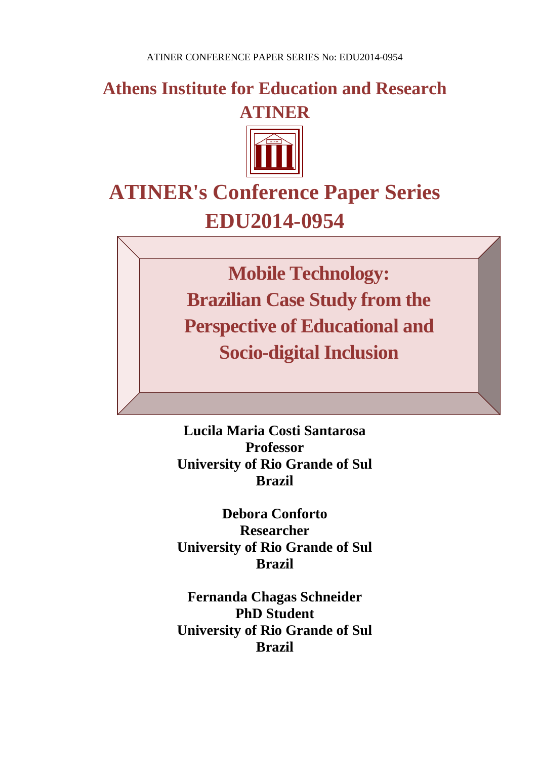**Athens Institute for Education and Research ATINER**



# **ATINER's Conference Paper Series EDU2014-0954**

**Mobile Technology: Brazilian Case Study from the Perspective of Educational and Socio-digital Inclusion**

**Lucila Maria Costi Santarosa Professor University of Rio Grande of Sul Brazil**

**Debora Conforto Researcher University of Rio Grande of Sul Brazil** 

**Fernanda Chagas Schneider PhD Student University of Rio Grande of Sul Brazil**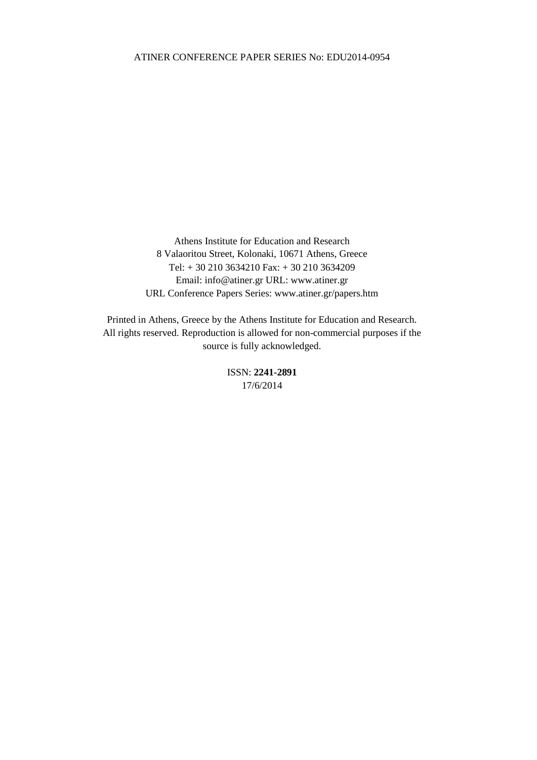Athens Institute for Education and Research 8 Valaoritou Street, Kolonaki, 10671 Athens, Greece Tel: + 30 210 3634210 Fax: + 30 210 3634209 Email: info@atiner.gr URL: www.atiner.gr URL Conference Papers Series: www.atiner.gr/papers.htm

Printed in Athens, Greece by the Athens Institute for Education and Research. All rights reserved. Reproduction is allowed for non-commercial purposes if the source is fully acknowledged.

> ISSN: **2241-2891** 17/6/2014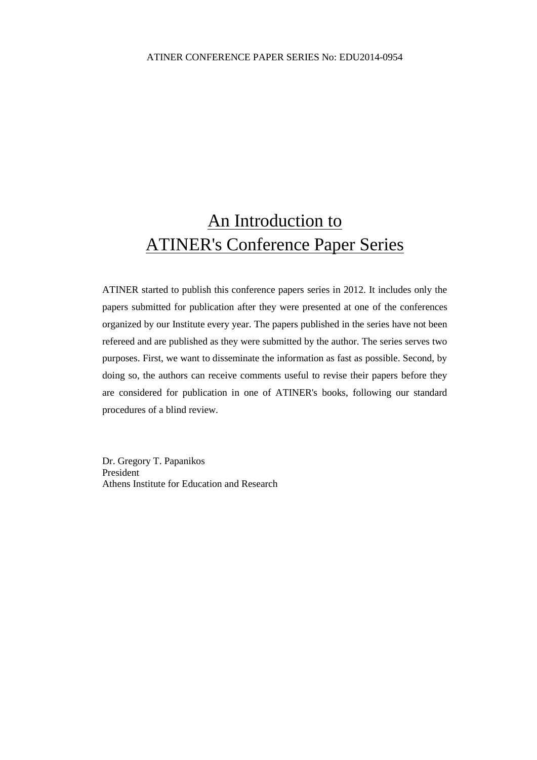## An Introduction to ATINER's Conference Paper Series

ATINER started to publish this conference papers series in 2012. It includes only the papers submitted for publication after they were presented at one of the conferences organized by our Institute every year. The papers published in the series have not been refereed and are published as they were submitted by the author. The series serves two purposes. First, we want to disseminate the information as fast as possible. Second, by doing so, the authors can receive comments useful to revise their papers before they are considered for publication in one of ATINER's books, following our standard procedures of a blind review.

Dr. Gregory T. Papanikos President Athens Institute for Education and Research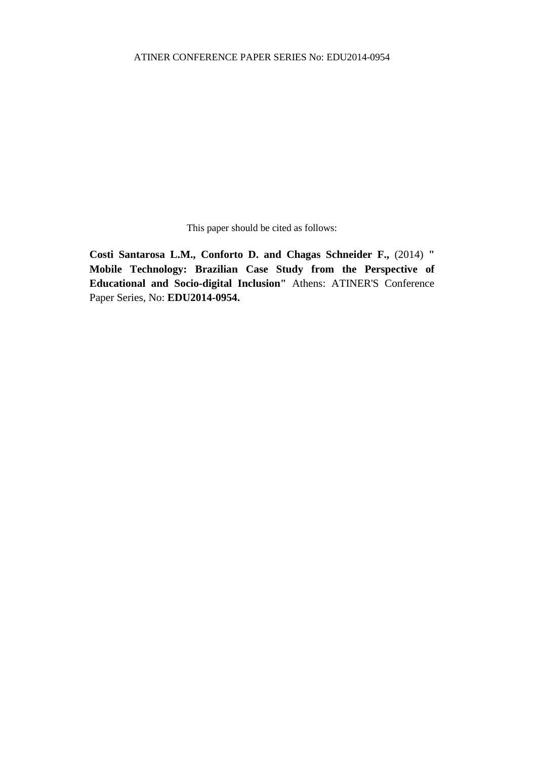This paper should be cited as follows:

**Costi Santarosa L.M., Conforto D. and Chagas Schneider F.,** (2014) **" Mobile Technology: Brazilian Case Study from the Perspective of Educational and Socio-digital Inclusion"** Athens: ATINER'S Conference Paper Series, No: **EDU2014-0954.**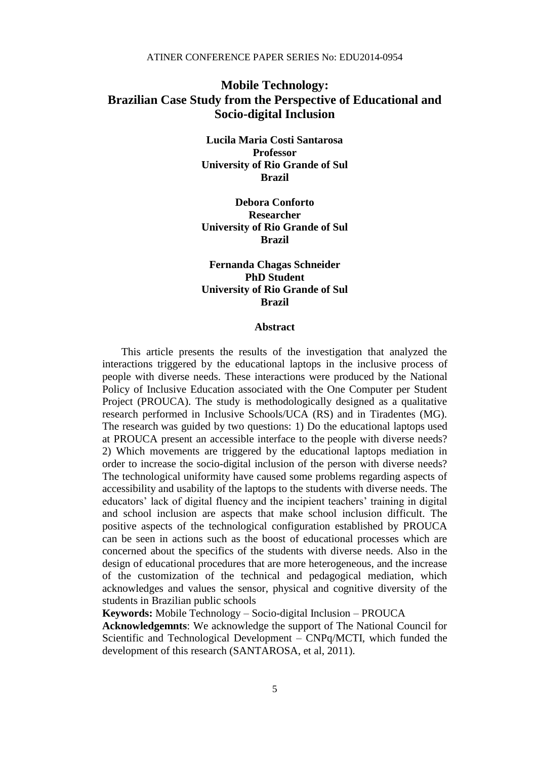### **Mobile Technology: Brazilian Case Study from the Perspective of Educational and Socio-digital Inclusion**

**Lucila Maria Costi Santarosa Professor University of Rio Grande of Sul Brazil**

**Debora Conforto Researcher University of Rio Grande of Sul Brazil** 

#### **Fernanda Chagas Schneider PhD Student University of Rio Grande of Sul Brazil**

#### **Abstract**

This article presents the results of the investigation that analyzed the interactions triggered by the educational laptops in the inclusive process of people with diverse needs. These interactions were produced by the National Policy of Inclusive Education associated with the One Computer per Student Project (PROUCA). The study is methodologically designed as a qualitative research performed in Inclusive Schools/UCA (RS) and in Tiradentes (MG). The research was guided by two questions: 1) Do the educational laptops used at PROUCA present an accessible interface to the people with diverse needs? 2) Which movements are triggered by the educational laptops mediation in order to increase the socio-digital inclusion of the person with diverse needs? The technological uniformity have caused some problems regarding aspects of accessibility and usability of the laptops to the students with diverse needs. The educators' lack of digital fluency and the incipient teachers' training in digital and school inclusion are aspects that make school inclusion difficult. The positive aspects of the technological configuration established by PROUCA can be seen in actions such as the boost of educational processes which are concerned about the specifics of the students with diverse needs. Also in the design of educational procedures that are more heterogeneous, and the increase of the customization of the technical and pedagogical mediation, which acknowledges and values the sensor, physical and cognitive diversity of the students in Brazilian public schools

**Keywords:** Mobile Technology – Socio-digital Inclusion – PROUCA

**Acknowledgemnts**: We acknowledge the support of The National Council for Scientific and Technological Development – CNPq/MCTI, which funded the development of this research (SANTAROSA, et al, 2011).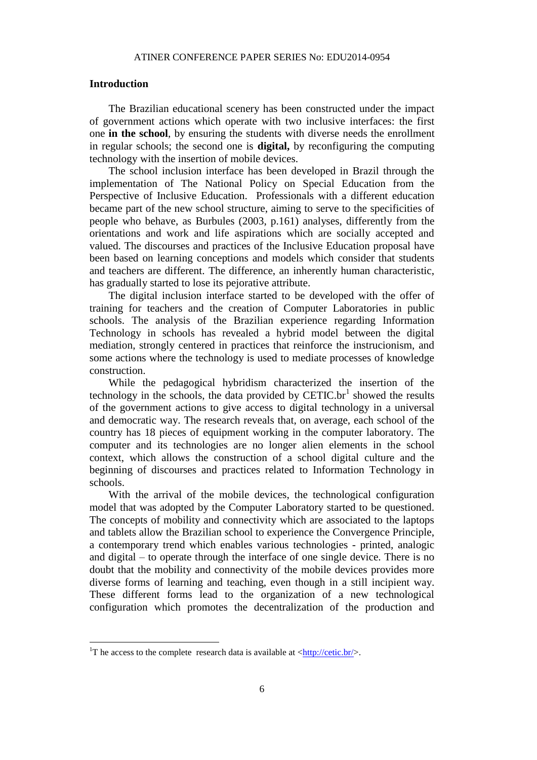#### **Introduction**

The Brazilian educational scenery has been constructed under the impact of government actions which operate with two inclusive interfaces: the first one **in the school**, by ensuring the students with diverse needs the enrollment in regular schools; the second one is **digital,** by reconfiguring the computing technology with the insertion of mobile devices.

The school inclusion interface has been developed in Brazil through the implementation of The National Policy on Special Education from the Perspective of Inclusive Education. Professionals with a different education became part of the new school structure, aiming to serve to the specificities of people who behave, as Burbules (2003, p.161) analyses, differently from the orientations and work and life aspirations which are socially accepted and valued. The discourses and practices of the Inclusive Education proposal have been based on learning conceptions and models which consider that students and teachers are different. The difference, an inherently human characteristic, has gradually started to lose its pejorative attribute.

The digital inclusion interface started to be developed with the offer of training for teachers and the creation of Computer Laboratories in public schools. The analysis of the Brazilian experience regarding Information Technology in schools has revealed a hybrid model between the digital mediation, strongly centered in practices that reinforce the instrucionism, and some actions where the technology is used to mediate processes of knowledge construction.

While the pedagogical hybridism characterized the insertion of the technology in the schools, the data provided by  $CETIC.br<sup>1</sup>$  showed the results of the government actions to give access to digital technology in a universal and democratic way. The research reveals that, on average, each school of the country has 18 pieces of equipment working in the computer laboratory. The computer and its technologies are no longer alien elements in the school context, which allows the construction of a school digital culture and the beginning of discourses and practices related to Information Technology in schools.

With the arrival of the mobile devices, the technological configuration model that was adopted by the Computer Laboratory started to be questioned. The concepts of mobility and connectivity which are associated to the laptops and tablets allow the Brazilian school to experience the Convergence Principle, a contemporary trend which enables various technologies - printed, analogic and digital – to operate through the interface of one single device. There is no doubt that the mobility and connectivity of the mobile devices provides more diverse forms of learning and teaching, even though in a still incipient way. These different forms lead to the organization of a new technological configuration which promotes the decentralization of the production and

1

<sup>&</sup>lt;sup>1</sup>T he access to the complete research data is available at  $\langle \frac{http://cetic.br/}{$ .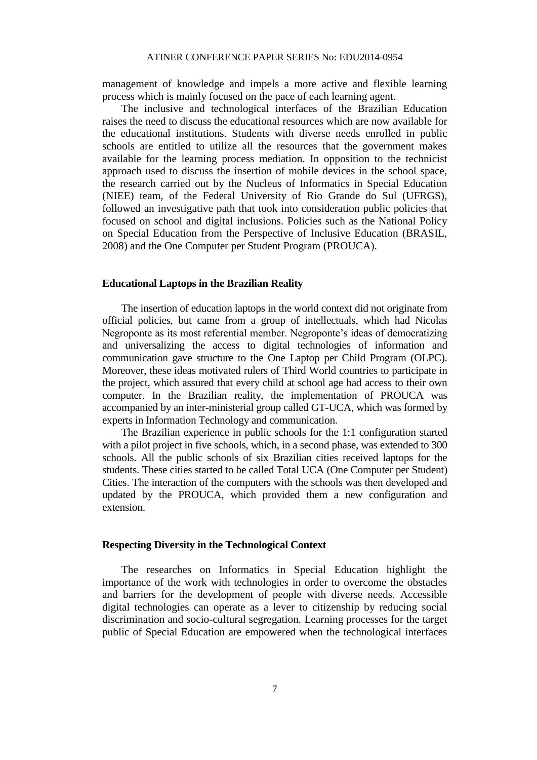management of knowledge and impels a more active and flexible learning process which is mainly focused on the pace of each learning agent.

The inclusive and technological interfaces of the Brazilian Education raises the need to discuss the educational resources which are now available for the educational institutions. Students with diverse needs enrolled in public schools are entitled to utilize all the resources that the government makes available for the learning process mediation. In opposition to the technicist approach used to discuss the insertion of mobile devices in the school space, the research carried out by the Nucleus of Informatics in Special Education (NIEE) team, of the Federal University of Rio Grande do Sul (UFRGS), followed an investigative path that took into consideration public policies that focused on school and digital inclusions. Policies such as the National Policy on Special Education from the Perspective of Inclusive Education (BRASIL, 2008) and the One Computer per Student Program (PROUCA).

#### **Educational Laptops in the Brazilian Reality**

The insertion of education laptops in the world context did not originate from official policies, but came from a group of intellectuals, which had Nicolas Negroponte as its most referential member. Negroponte's ideas of democratizing and universalizing the access to digital technologies of information and communication gave structure to the One Laptop per Child Program (OLPC). Moreover, these ideas motivated rulers of Third World countries to participate in the project, which assured that every child at school age had access to their own computer. In the Brazilian reality, the implementation of PROUCA was accompanied by an inter-ministerial group called GT-UCA, which was formed by experts in Information Technology and communication.

The Brazilian experience in public schools for the 1:1 configuration started with a pilot project in five schools, which, in a second phase, was extended to 300 schools. All the public schools of six Brazilian cities received laptops for the students. These cities started to be called Total UCA (One Computer per Student) Cities. The interaction of the computers with the schools was then developed and updated by the PROUCA, which provided them a new configuration and extension.

#### **Respecting Diversity in the Technological Context**

The researches on Informatics in Special Education highlight the importance of the work with technologies in order to overcome the obstacles and barriers for the development of people with diverse needs. Accessible digital technologies can operate as a lever to citizenship by reducing social discrimination and socio-cultural segregation. Learning processes for the target public of Special Education are empowered when the technological interfaces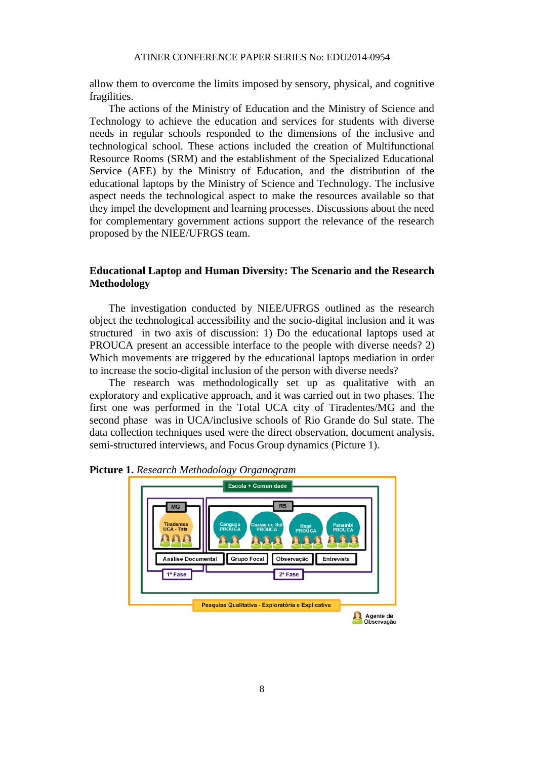allow them to overcome the limits imposed by sensory, physical, and cognitive fragilities.

The actions of the Ministry of Education and the Ministry of Science and Technology to achieve the education and services for students with diverse needs in regular schools responded to the dimensions of the inclusive and technological school. These actions included the creation of Multifunctional Resource Rooms (SRM) and the establishment of the Specialized Educational Service (AEE) by the Ministry of Education, and the distribution of the educational laptops by the Ministry of Science and Technology. The inclusive aspect needs the technological aspect to make the resources available so that they impel the development and learning processes. Discussions about the need for complementary government actions support the relevance of the research proposed by the NIEE/UFRGS team.

#### **Educational Laptop and Human Diversity: The Scenario and the Research Methodology**

The investigation conducted by NIEE/UFRGS outlined as the research object the technological accessibility and the socio-digital inclusion and it was structured in two axis of discussion: 1) Do the educational laptops used at PROUCA present an accessible interface to the people with diverse needs? 2) Which movements are triggered by the educational laptops mediation in order to increase the socio-digital inclusion of the person with diverse needs?

The research was methodologically set up as qualitative with an exploratory and explicative approach, and it was carried out in two phases. The first one was performed in the Total UCA city of Tiradentes/MG and the second phase was in UCA/inclusive schools of Rio Grande do Sul state. The data collection techniques used were the direct observation, document analysis, semi-structured interviews, and Focus Group dynamics (Picture 1).



**Picture 1.** *Research Methodology Organogram*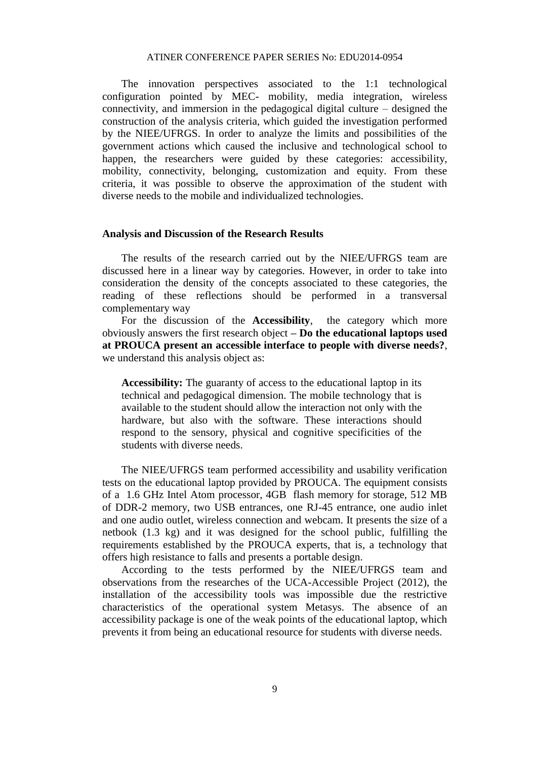The innovation perspectives associated to the 1:1 technological configuration pointed by MEC- mobility, media integration, wireless connectivity, and immersion in the pedagogical digital culture – designed the construction of the analysis criteria, which guided the investigation performed by the NIEE/UFRGS. In order to analyze the limits and possibilities of the government actions which caused the inclusive and technological school to happen, the researchers were guided by these categories: accessibility, mobility, connectivity, belonging, customization and equity. From these criteria, it was possible to observe the approximation of the student with diverse needs to the mobile and individualized technologies.

#### **Analysis and Discussion of the Research Results**

The results of the research carried out by the NIEE/UFRGS team are discussed here in a linear way by categories. However, in order to take into consideration the density of the concepts associated to these categories, the reading of these reflections should be performed in a transversal complementary way

For the discussion of the **Accessibility**, the category which more obviously answers the first research object **– Do the educational laptops used at PROUCA present an accessible interface to people with diverse needs?**, we understand this analysis object as:

**Accessibility:** The guaranty of access to the educational laptop in its technical and pedagogical dimension. The mobile technology that is available to the student should allow the interaction not only with the hardware, but also with the software. These interactions should respond to the sensory, physical and cognitive specificities of the students with diverse needs.

The NIEE/UFRGS team performed accessibility and usability verification tests on the educational laptop provided by PROUCA. The equipment consists of a 1.6 GHz Intel Atom processor, 4GB flash memory for storage, 512 MB of DDR-2 memory, two USB entrances, one RJ-45 entrance, one audio inlet and one audio outlet, wireless connection and webcam. It presents the size of a netbook (1.3 kg) and it was designed for the school public, fulfilling the requirements established by the PROUCA experts, that is, a technology that offers high resistance to falls and presents a portable design.

According to the tests performed by the NIEE/UFRGS team and observations from the researches of the UCA-Accessible Project (2012), the installation of the accessibility tools was impossible due the restrictive characteristics of the operational system Metasys. The absence of an accessibility package is one of the weak points of the educational laptop, which prevents it from being an educational resource for students with diverse needs.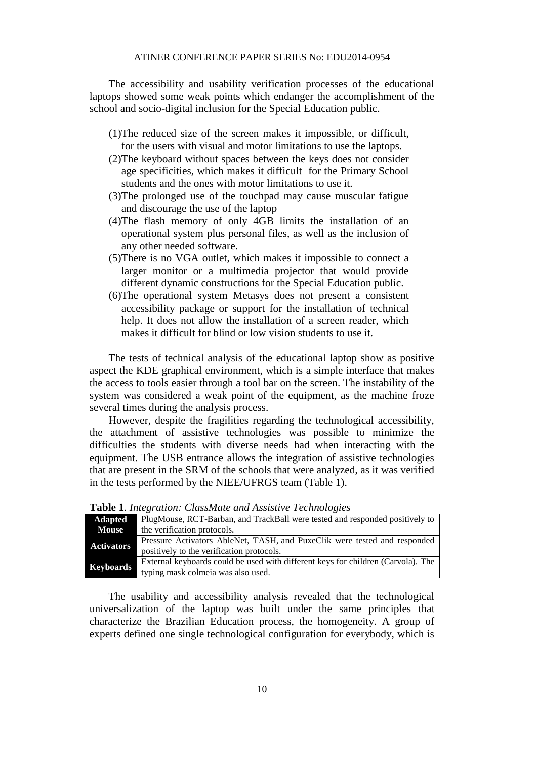The accessibility and usability verification processes of the educational laptops showed some weak points which endanger the accomplishment of the school and socio-digital inclusion for the Special Education public.

- (1)The reduced size of the screen makes it impossible, or difficult, for the users with visual and motor limitations to use the laptops.
- (2)The keyboard without spaces between the keys does not consider age specificities, which makes it difficult for the Primary School students and the ones with motor limitations to use it.
- (3)The prolonged use of the touchpad may cause muscular fatigue and discourage the use of the laptop
- (4)The flash memory of only 4GB limits the installation of an operational system plus personal files, as well as the inclusion of any other needed software.
- (5)There is no VGA outlet, which makes it impossible to connect a larger monitor or a multimedia projector that would provide different dynamic constructions for the Special Education public.
- (6)The operational system Metasys does not present a consistent accessibility package or support for the installation of technical help. It does not allow the installation of a screen reader, which makes it difficult for blind or low vision students to use it.

The tests of technical analysis of the educational laptop show as positive aspect the KDE graphical environment, which is a simple interface that makes the access to tools easier through a tool bar on the screen. The instability of the system was considered a weak point of the equipment, as the machine froze several times during the analysis process.

However, despite the fragilities regarding the technological accessibility, the attachment of assistive technologies was possible to minimize the difficulties the students with diverse needs had when interacting with the equipment. The USB entrance allows the integration of assistive technologies that are present in the SRM of the schools that were analyzed, as it was verified in the tests performed by the NIEE/UFRGS team (Table 1).

| <b>Adapted</b>    | PlugMouse, RCT-Barban, and TrackBall were tested and responded positively to     |
|-------------------|----------------------------------------------------------------------------------|
| <b>Mouse</b>      | the verification protocols.                                                      |
| <b>Activators</b> | Pressure Activators AbleNet, TASH, and PuxeClik were tested and responded        |
|                   | positively to the verification protocols.                                        |
| Keyboards         | External keyboards could be used with different keys for children (Carvola). The |
|                   | typing mask colmeia was also used.                                               |

**Table 1**. *Integration: ClassMate and Assistive Technologies*

The usability and accessibility analysis revealed that the technological universalization of the laptop was built under the same principles that characterize the Brazilian Education process, the homogeneity. A group of experts defined one single technological configuration for everybody, which is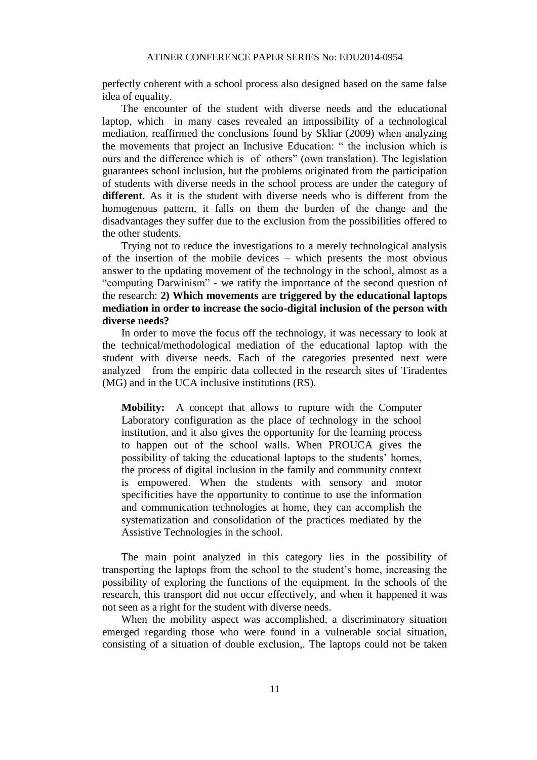perfectly coherent with a school process also designed based on the same false idea of equality.

The encounter of the student with diverse needs and the educational laptop, which in many cases revealed an impossibility of a technological mediation, reaffirmed the conclusions found by Skliar (2009) when analyzing the movements that project an Inclusive Education: " the inclusion which is ours and the difference which is of others" (own translation). The legislation guarantees school inclusion, but the problems originated from the participation of students with diverse needs in the school process are under the category of **different**. As it is the student with diverse needs who is different from the homogenous pattern, it falls on them the burden of the change and the disadvantages they suffer due to the exclusion from the possibilities offered to the other students.

Trying not to reduce the investigations to a merely technological analysis of the insertion of the mobile devices – which presents the most obvious answer to the updating movement of the technology in the school, almost as a "computing Darwinism" - we ratify the importance of the second question of the research: **2) Which movements are triggered by the educational laptops mediation in order to increase the socio-digital inclusion of the person with diverse needs?**

In order to move the focus off the technology, it was necessary to look at the technical/methodological mediation of the educational laptop with the student with diverse needs. Each of the categories presented next were analyzed from the empiric data collected in the research sites of Tiradentes (MG) and in the UCA inclusive institutions (RS).

**Mobility:** A concept that allows to rupture with the Computer Laboratory configuration as the place of technology in the school institution, and it also gives the opportunity for the learning process to happen out of the school walls. When PROUCA gives the possibility of taking the educational laptops to the students' homes, the process of digital inclusion in the family and community context is empowered. When the students with sensory and motor specificities have the opportunity to continue to use the information and communication technologies at home, they can accomplish the systematization and consolidation of the practices mediated by the Assistive Technologies in the school.

The main point analyzed in this category lies in the possibility of transporting the laptops from the school to the student's home, increasing the possibility of exploring the functions of the equipment. In the schools of the research, this transport did not occur effectively, and when it happened it was not seen as a right for the student with diverse needs.

When the mobility aspect was accomplished, a discriminatory situation emerged regarding those who were found in a vulnerable social situation, consisting of a situation of double exclusion,. The laptops could not be taken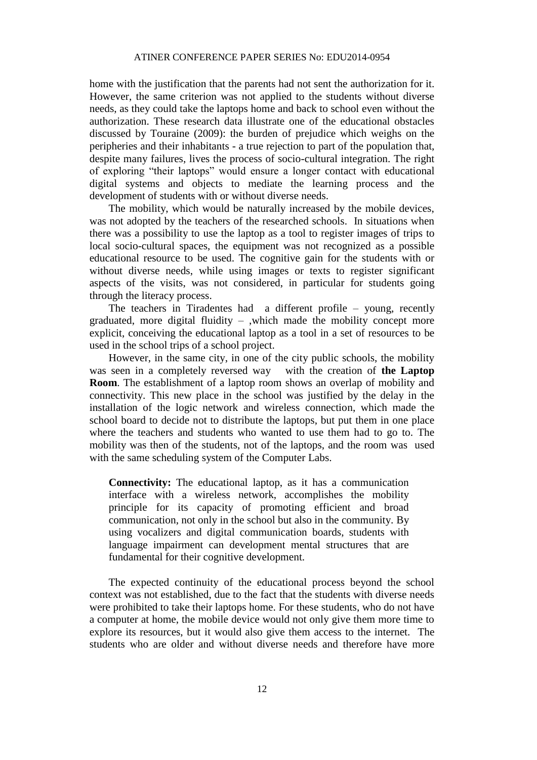home with the justification that the parents had not sent the authorization for it. However, the same criterion was not applied to the students without diverse needs, as they could take the laptops home and back to school even without the authorization. These research data illustrate one of the educational obstacles discussed by Touraine (2009): the burden of prejudice which weighs on the peripheries and their inhabitants - a true rejection to part of the population that, despite many failures, lives the process of socio-cultural integration. The right of exploring "their laptops" would ensure a longer contact with educational digital systems and objects to mediate the learning process and the development of students with or without diverse needs.

The mobility, which would be naturally increased by the mobile devices, was not adopted by the teachers of the researched schools. In situations when there was a possibility to use the laptop as a tool to register images of trips to local socio-cultural spaces, the equipment was not recognized as a possible educational resource to be used. The cognitive gain for the students with or without diverse needs, while using images or texts to register significant aspects of the visits, was not considered, in particular for students going through the literacy process.

The teachers in Tiradentes had a different profile – young, recently graduated, more digital fluidity – ,which made the mobility concept more explicit, conceiving the educational laptop as a tool in a set of resources to be used in the school trips of a school project.

However, in the same city, in one of the city public schools, the mobility was seen in a completely reversed way with the creation of **the Laptop Room**. The establishment of a laptop room shows an overlap of mobility and connectivity. This new place in the school was justified by the delay in the installation of the logic network and wireless connection, which made the school board to decide not to distribute the laptops, but put them in one place where the teachers and students who wanted to use them had to go to. The mobility was then of the students, not of the laptops, and the room was used with the same scheduling system of the Computer Labs.

**Connectivity:** The educational laptop, as it has a communication interface with a wireless network, accomplishes the mobility principle for its capacity of promoting efficient and broad communication, not only in the school but also in the community. By using vocalizers and digital communication boards, students with language impairment can development mental structures that are fundamental for their cognitive development.

The expected continuity of the educational process beyond the school context was not established, due to the fact that the students with diverse needs were prohibited to take their laptops home. For these students, who do not have a computer at home, the mobile device would not only give them more time to explore its resources, but it would also give them access to the internet. The students who are older and without diverse needs and therefore have more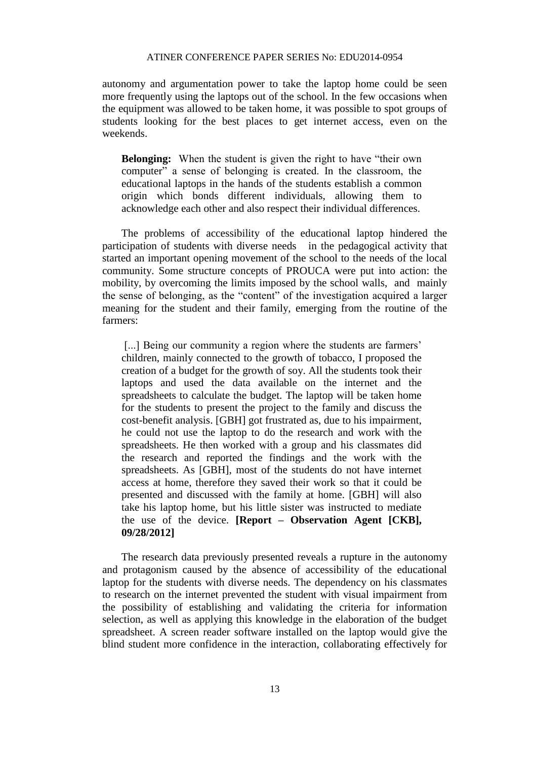autonomy and argumentation power to take the laptop home could be seen more frequently using the laptops out of the school. In the few occasions when the equipment was allowed to be taken home, it was possible to spot groups of students looking for the best places to get internet access, even on the weekends.

**Belonging:** When the student is given the right to have "their own computer" a sense of belonging is created. In the classroom, the educational laptops in the hands of the students establish a common origin which bonds different individuals, allowing them to acknowledge each other and also respect their individual differences.

The problems of accessibility of the educational laptop hindered the participation of students with diverse needs in the pedagogical activity that started an important opening movement of the school to the needs of the local community. Some structure concepts of PROUCA were put into action: the mobility, by overcoming the limits imposed by the school walls, and mainly the sense of belonging, as the "content" of the investigation acquired a larger meaning for the student and their family, emerging from the routine of the farmers:

[...] Being our community a region where the students are farmers' children, mainly connected to the growth of tobacco, I proposed the creation of a budget for the growth of soy. All the students took their laptops and used the data available on the internet and the spreadsheets to calculate the budget. The laptop will be taken home for the students to present the project to the family and discuss the cost-benefit analysis. [GBH] got frustrated as, due to his impairment, he could not use the laptop to do the research and work with the spreadsheets. He then worked with a group and his classmates did the research and reported the findings and the work with the spreadsheets. As [GBH], most of the students do not have internet access at home, therefore they saved their work so that it could be presented and discussed with the family at home. [GBH] will also take his laptop home, but his little sister was instructed to mediate the use of the device. **[Report – Observation Agent [CKB], 09/28/2012]**

The research data previously presented reveals a rupture in the autonomy and protagonism caused by the absence of accessibility of the educational laptop for the students with diverse needs. The dependency on his classmates to research on the internet prevented the student with visual impairment from the possibility of establishing and validating the criteria for information selection, as well as applying this knowledge in the elaboration of the budget spreadsheet. A screen reader software installed on the laptop would give the blind student more confidence in the interaction, collaborating effectively for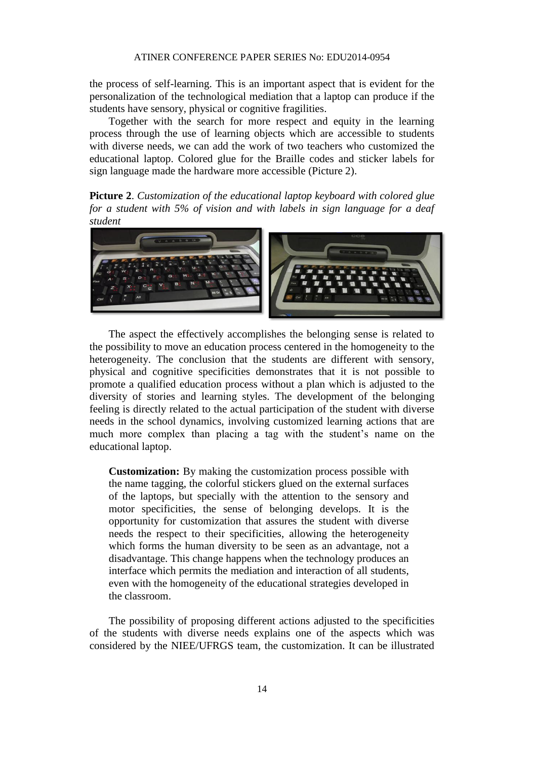the process of self-learning. This is an important aspect that is evident for the personalization of the technological mediation that a laptop can produce if the students have sensory, physical or cognitive fragilities.

Together with the search for more respect and equity in the learning process through the use of learning objects which are accessible to students with diverse needs, we can add the work of two teachers who customized the educational laptop. Colored glue for the Braille codes and sticker labels for sign language made the hardware more accessible (Picture 2).

**Picture 2**. *Customization of the educational laptop keyboard with colored glue for a student with 5% of vision and with labels in sign language for a deaf student*



The aspect the effectively accomplishes the belonging sense is related to the possibility to move an education process centered in the homogeneity to the heterogeneity. The conclusion that the students are different with sensory, physical and cognitive specificities demonstrates that it is not possible to promote a qualified education process without a plan which is adjusted to the diversity of stories and learning styles. The development of the belonging feeling is directly related to the actual participation of the student with diverse needs in the school dynamics, involving customized learning actions that are much more complex than placing a tag with the student's name on the educational laptop.

**Customization:** By making the customization process possible with the name tagging, the colorful stickers glued on the external surfaces of the laptops, but specially with the attention to the sensory and motor specificities, the sense of belonging develops. It is the opportunity for customization that assures the student with diverse needs the respect to their specificities, allowing the heterogeneity which forms the human diversity to be seen as an advantage, not a disadvantage. This change happens when the technology produces an interface which permits the mediation and interaction of all students, even with the homogeneity of the educational strategies developed in the classroom.

The possibility of proposing different actions adjusted to the specificities of the students with diverse needs explains one of the aspects which was considered by the NIEE/UFRGS team, the customization. It can be illustrated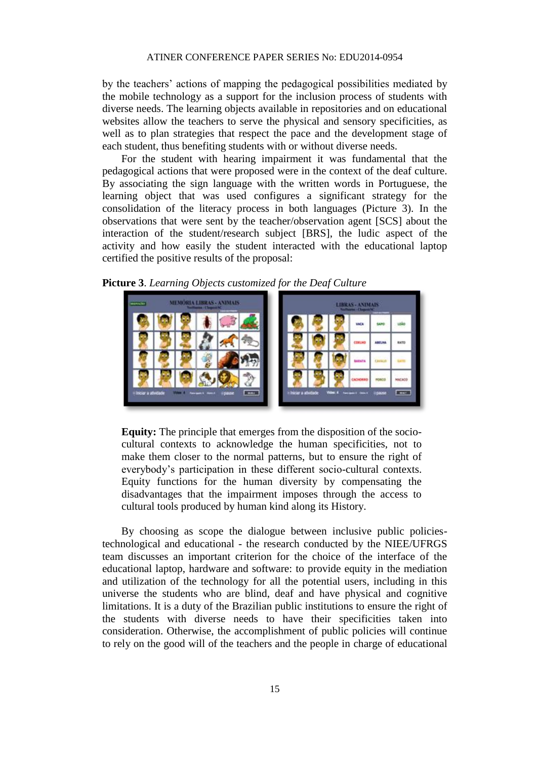by the teachers' actions of mapping the pedagogical possibilities mediated by the mobile technology as a support for the inclusion process of students with diverse needs. The learning objects available in repositories and on educational websites allow the teachers to serve the physical and sensory specificities, as well as to plan strategies that respect the pace and the development stage of each student, thus benefiting students with or without diverse needs.

For the student with hearing impairment it was fundamental that the pedagogical actions that were proposed were in the context of the deaf culture. By associating the sign language with the written words in Portuguese, the learning object that was used configures a significant strategy for the consolidation of the literacy process in both languages (Picture 3). In the observations that were sent by the teacher/observation agent [SCS] about the interaction of the student/research subject [BRS], the ludic aspect of the activity and how easily the student interacted with the educational laptop certified the positive results of the proposal:

**Picture 3**. *Learning Objects customized for the Deaf Culture*



**Equity:** The principle that emerges from the disposition of the sociocultural contexts to acknowledge the human specificities, not to make them closer to the normal patterns, but to ensure the right of everybody's participation in these different socio-cultural contexts. Equity functions for the human diversity by compensating the disadvantages that the impairment imposes through the access to cultural tools produced by human kind along its History.

By choosing as scope the dialogue between inclusive public policiestechnological and educational - the research conducted by the NIEE/UFRGS team discusses an important criterion for the choice of the interface of the educational laptop, hardware and software: to provide equity in the mediation and utilization of the technology for all the potential users, including in this universe the students who are blind, deaf and have physical and cognitive limitations. It is a duty of the Brazilian public institutions to ensure the right of the students with diverse needs to have their specificities taken into consideration. Otherwise, the accomplishment of public policies will continue to rely on the good will of the teachers and the people in charge of educational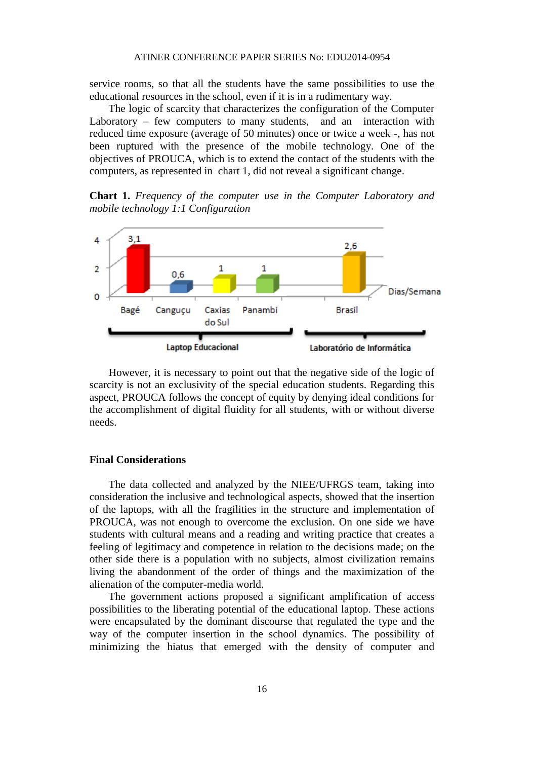service rooms, so that all the students have the same possibilities to use the educational resources in the school, even if it is in a rudimentary way.

The logic of scarcity that characterizes the configuration of the Computer Laboratory – few computers to many students, and an interaction with reduced time exposure (average of 50 minutes) once or twice a week -, has not been ruptured with the presence of the mobile technology. One of the objectives of PROUCA, which is to extend the contact of the students with the computers, as represented in chart 1, did not reveal a significant change.

**Chart 1.** *Frequency of the computer use in the Computer Laboratory and mobile technology 1:1 Configuration*



However, it is necessary to point out that the negative side of the logic of scarcity is not an exclusivity of the special education students. Regarding this aspect, PROUCA follows the concept of equity by denying ideal conditions for the accomplishment of digital fluidity for all students, with or without diverse needs.

#### **Final Considerations**

The data collected and analyzed by the NIEE/UFRGS team, taking into consideration the inclusive and technological aspects, showed that the insertion of the laptops, with all the fragilities in the structure and implementation of PROUCA, was not enough to overcome the exclusion. On one side we have students with cultural means and a reading and writing practice that creates a feeling of legitimacy and competence in relation to the decisions made; on the other side there is a population with no subjects, almost civilization remains living the abandonment of the order of things and the maximization of the alienation of the computer-media world.

The government actions proposed a significant amplification of access possibilities to the liberating potential of the educational laptop. These actions were encapsulated by the dominant discourse that regulated the type and the way of the computer insertion in the school dynamics. The possibility of minimizing the hiatus that emerged with the density of computer and